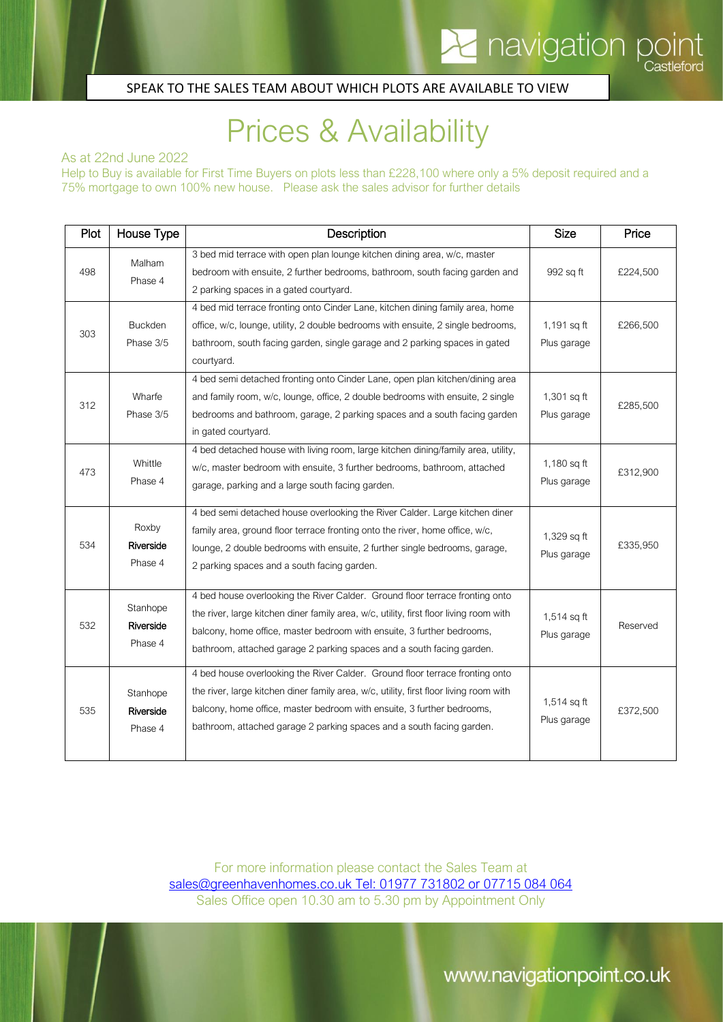### SPEAK TO THE SALES TEAM ABOUT WHICH PLOTS ARE AVAILABLE TO VIEW

# Prices & Availability

As at 22nd June 2022

 $\Gamma$ 

Help to Buy is available for First Time Buyers on plots less than £228,100 where only a 5% deposit required and a 75% mortgage to own 100% new house. Please ask the sales advisor for further details

| Plot | House Type                       | Description                                                                                                                                                                                                                                                                                                               | <b>Size</b>                  | Price    |
|------|----------------------------------|---------------------------------------------------------------------------------------------------------------------------------------------------------------------------------------------------------------------------------------------------------------------------------------------------------------------------|------------------------------|----------|
| 498  | Malham<br>Phase 4                | 3 bed mid terrace with open plan lounge kitchen dining area, w/c, master<br>bedroom with ensuite, 2 further bedrooms, bathroom, south facing garden and<br>2 parking spaces in a gated courtyard.                                                                                                                         | 992 sq ft                    | £224,500 |
| 303  | <b>Buckden</b><br>Phase 3/5      | 4 bed mid terrace fronting onto Cinder Lane, kitchen dining family area, home<br>office, w/c, lounge, utility, 2 double bedrooms with ensuite, 2 single bedrooms,<br>bathroom, south facing garden, single garage and 2 parking spaces in gated<br>courtyard.                                                             | $1,191$ sq ft<br>Plus garage | £266,500 |
| 312  | Wharfe<br>Phase 3/5              | 4 bed semi detached fronting onto Cinder Lane, open plan kitchen/dining area<br>and family room, w/c, lounge, office, 2 double bedrooms with ensuite, 2 single<br>bedrooms and bathroom, garage, 2 parking spaces and a south facing garden<br>in gated courtyard.                                                        | 1,301 sq ft<br>Plus garage   | £285,500 |
| 473  | Whittle<br>Phase 4               | 4 bed detached house with living room, large kitchen dining/family area, utility,<br>w/c, master bedroom with ensuite, 3 further bedrooms, bathroom, attached<br>garage, parking and a large south facing garden.                                                                                                         | 1,180 sq ft<br>Plus garage   | £312,900 |
| 534  | Roxby<br>Riverside<br>Phase 4    | 4 bed semi detached house overlooking the River Calder. Large kitchen diner<br>family area, ground floor terrace fronting onto the river, home office, w/c,<br>lounge, 2 double bedrooms with ensuite, 2 further single bedrooms, garage,<br>2 parking spaces and a south facing garden.                                  | 1,329 sq ft<br>Plus garage   | £335,950 |
| 532  | Stanhope<br>Riverside<br>Phase 4 | 4 bed house overlooking the River Calder. Ground floor terrace fronting onto<br>the river, large kitchen diner family area, w/c, utility, first floor living room with<br>balcony, home office, master bedroom with ensuite, 3 further bedrooms,<br>bathroom, attached garage 2 parking spaces and a south facing garden. | $1,514$ sq ft<br>Plus garage | Reserved |
| 535  | Stanhope<br>Riverside<br>Phase 4 | 4 bed house overlooking the River Calder. Ground floor terrace fronting onto<br>the river, large kitchen diner family area, w/c, utility, first floor living room with<br>balcony, home office, master bedroom with ensuite, 3 further bedrooms,<br>bathroom, attached garage 2 parking spaces and a south facing garden. | $1,514$ sq ft<br>Plus garage | £372,500 |

For more information please contact the Sales Team at [sales@greenhavenhomes.co.uk](mailto:sales@greenhavenhomes.co.uk) Tel: 01977 731802 or 07715 084 064 Sales Office open 10.30 am to 5.30 pm by Appointment Only

www.navigationpoint.co.uk